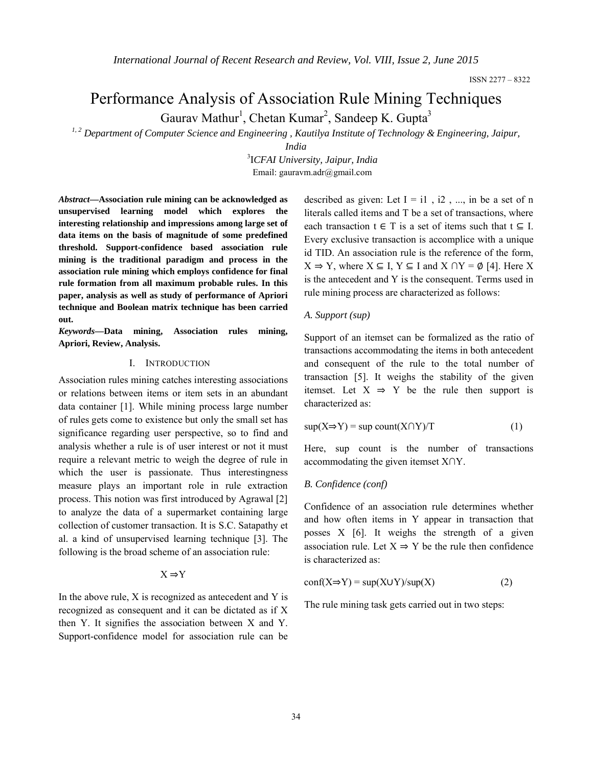# Performance Analysis of Association Rule Mining Techniques Gaurav Mathur<sup>1</sup>, Chetan Kumar<sup>2</sup>, Sandeep K. Gupta<sup>3</sup>

*1, 2 Department of Computer Science and Engineering , Kautilya Institute of Technology & Engineering, Jaipur,* 

3 I*CFAI University, Jaipur, India* Email: gauravm.adr@gmail.com

*Abstract***—Association rule mining can be acknowledged as unsupervised learning model which explores the interesting relationship and impressions among large set of data items on the basis of magnitude of some predefined threshold. Support-confidence based association rule mining is the traditional paradigm and process in the association rule mining which employs confidence for final rule formation from all maximum probable rules. In this paper, analysis as well as study of performance of Apriori technique and Boolean matrix technique has been carried out.**

*Keywords***—Data mining, Association rules mining, Apriori, Review, Analysis.**

## I. INTRODUCTION

Association rules mining catches interesting associations or relations between items or item sets in an abundant data container [1]. While mining process large number of rules gets come to existence but only the small set has significance regarding user perspective, so to find and analysis whether a rule is of user interest or not it must require a relevant metric to weigh the degree of rule in which the user is passionate. Thus interestingness measure plays an important role in rule extraction process. This notion was first introduced by Agrawal [2] to analyze the data of a supermarket containing large collection of customer transaction. It is S.C. Satapathy et al. a kind of unsupervised learning technique [3]. The following is the broad scheme of an association rule:

# $X \Rightarrow Y$

In the above rule, X is recognized as antecedent and Y is recognized as consequent and it can be dictated as if X then Y. It signifies the association between X and Y. Support-confidence model for association rule can be

described as given: Let  $I = i1$ ,  $i2$ , ..., in be a set of n literals called items and T be a set of transactions, where each transaction  $t \in T$  is a set of items such that  $t \subseteq I$ . Every exclusive transaction is accomplice with a unique id TID. An association rule is the reference of the form,  $X \Rightarrow Y$ , where  $X \subseteq I$ ,  $Y \subseteq I$  and  $X \cap Y = \emptyset$  [4]. Here X is the antecedent and Y is the consequent. Terms used in rule mining process are characterized as follows:

## *A. Support (sup)*

Support of an itemset can be formalized as the ratio of transactions accommodating the items in both antecedent and consequent of the rule to the total number of transaction [5]. It weighs the stability of the given itemset. Let  $X \Rightarrow Y$  be the rule then support is characterized as:

$$
sup(X \Rightarrow Y) = sup count(X \cap Y)/T
$$
 (1)

Here, sup count is the number of transactions accommodating the given itemset X∩Y.

## *B. Confidence (conf)*

Confidence of an association rule determines whether and how often items in Y appear in transaction that posses X [6]. It weighs the strength of a given association rule. Let  $X \Rightarrow Y$  be the rule then confidence is characterized as:

$$
conf(X \Rightarrow Y) = sup(X \cup Y)/sup(X)
$$
 (2)

The rule mining task gets carried out in two steps:

*India*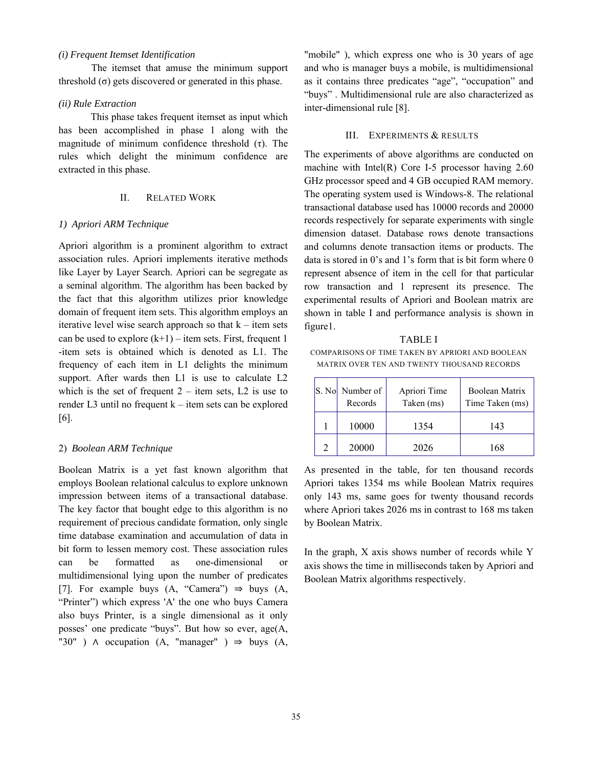# *(i) Frequent Itemset Identification*

The itemset that amuse the minimum support threshold  $(σ)$  gets discovered or generated in this phase.

#### *(ii) Rule Extraction*

This phase takes frequent itemset as input which has been accomplished in phase 1 along with the magnitude of minimum confidence threshold  $(\tau)$ . The rules which delight the minimum confidence are extracted in this phase.

## II. RELATED WORK

#### *1) Apriori ARM Technique*

Apriori algorithm is a prominent algorithm to extract association rules. Apriori implements iterative methods like Layer by Layer Search. Apriori can be segregate as a seminal algorithm. The algorithm has been backed by the fact that this algorithm utilizes prior knowledge domain of frequent item sets. This algorithm employs an iterative level wise search approach so that  $k - i$  tem sets can be used to explore  $(k+1)$  – item sets. First, frequent 1 -item sets is obtained which is denoted as L1. The frequency of each item in L1 delights the minimum support. After wards then L1 is use to calculate L2 which is the set of frequent  $2 -$  item sets, L2 is use to render L3 until no frequent k – item sets can be explored [6].

## 2) *Boolean ARM Technique*

Boolean Matrix is a yet fast known algorithm that employs Boolean relational calculus to explore unknown impression between items of a transactional database. The key factor that bought edge to this algorithm is no requirement of precious candidate formation, only single time database examination and accumulation of data in bit form to lessen memory cost. These association rules can be formatted as one-dimensional or multidimensional lying upon the number of predicates [7]. For example buys  $(A, "Camera") \Rightarrow buys (A,$ "Printer") which express 'A' the one who buys Camera also buys Printer, is a single dimensional as it only posses' one predicate "buys". But how so ever, age(A, "30" )  $\land$  occupation (A, "manager" )  $\Rightarrow$  buys (A,

"mobile"), which express one who is 30 years of age and who is manager buys a mobile, is multidimensional as it contains three predicates "age", "occupation" and "buys" . Multidimensional rule are also characterized as inter-dimensional rule [8].

#### III. EXPERIMENTS & RESULTS

The experiments of above algorithms are conducted on machine with Intel(R) Core I-5 processor having 2.60 GHz processor speed and 4 GB occupied RAM memory. The operating system used is Windows-8. The relational transactional database used has 10000 records and 20000 records respectively for separate experiments with single dimension dataset. Database rows denote transactions and columns denote transaction items or products. The data is stored in 0's and 1's form that is bit form where 0 represent absence of item in the cell for that particular row transaction and 1 represent its presence. The experimental results of Apriori and Boolean matrix are shown in table I and performance analysis is shown in figure1.

TABLE I COMPARISONS OF TIME TAKEN BY APRIORI AND BOOLEAN MATRIX OVER TEN AND TWENTY THOUSAND RECORDS

|  | S. No Number of<br>Records | Apriori Time<br>Taken (ms) | Boolean Matrix<br>Time Taken (ms) |
|--|----------------------------|----------------------------|-----------------------------------|
|  | 10000                      | 1354                       | 143                               |
|  | 20000                      | 2026                       | 168                               |

As presented in the table, for ten thousand records Apriori takes 1354 ms while Boolean Matrix requires only 143 ms, same goes for twenty thousand records where Apriori takes 2026 ms in contrast to 168 ms taken by Boolean Matrix.

In the graph, X axis shows number of records while Y axis shows the time in milliseconds taken by Apriori and Boolean Matrix algorithms respectively.